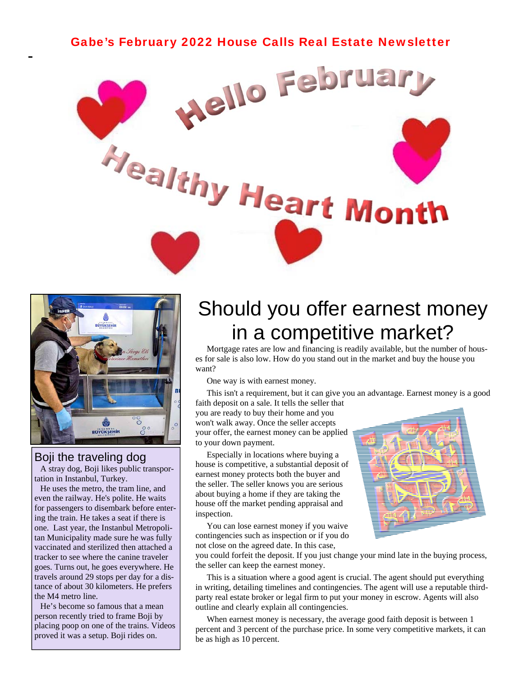



#### Boji the traveling dog

 A stray dog, Boji likes public transportation in Instanbul, Turkey.

 He uses the metro, the tram line, and even the railway. He's polite. He waits for passengers to disembark before entering the train. He takes a seat if there is one. Last year, the Instanbul Metropolitan Municipality made sure he was fully vaccinated and sterilized then attached a tracker to see where the canine traveler goes. Turns out, he goes everywhere. He travels around 29 stops per day for a distance of about 30 kilometers. He prefers the M4 metro line.

 He's become so famous that a mean person recently tried to frame Boji by placing poop on one of the trains. Videos proved it was a setup. Boji rides on.

## Should you offer earnest money in a competitive market?

 Mortgage rates are low and financing is readily available, but the number of houses for sale is also low. How do you stand out in the market and buy the house you want?

One way is with earnest money.

This isn't a requirement, but it can give you an advantage. Earnest money is a good

faith deposit on a sale. It tells the seller that you are ready to buy their home and you won't walk away. Once the seller accepts your offer, the earnest money can be applied to your down payment.

 Especially in locations where buying a house is competitive, a substantial deposit of earnest money protects both the buyer and the seller. The seller knows you are serious about buying a home if they are taking the house off the market pending appraisal and inspection.

 You can lose earnest money if you waive contingencies such as inspection or if you do not close on the agreed date. In this case,



you could forfeit the deposit. If you just change your mind late in the buying process, the seller can keep the earnest money.

 This is a situation where a good agent is crucial. The agent should put everything in writing, detailing timelines and contingencies. The agent will use a reputable thirdparty real estate broker or legal firm to put your money in escrow. Agents will also outline and clearly explain all contingencies.

 When earnest money is necessary, the average good faith deposit is between 1 percent and 3 percent of the purchase price. In some very competitive markets, it can be as high as 10 percent.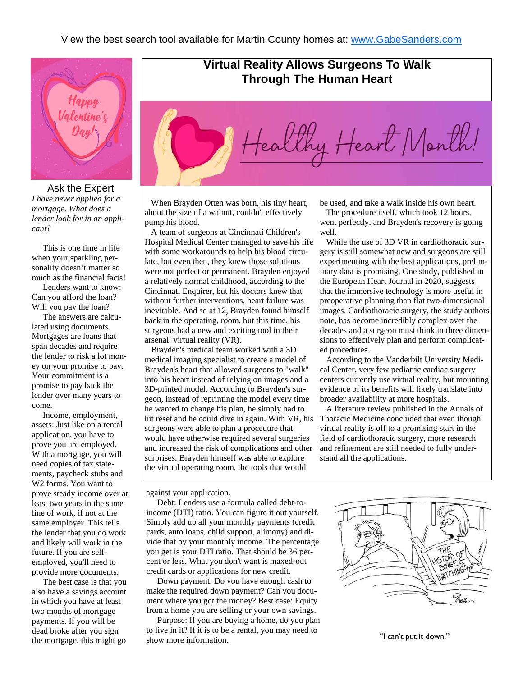

#### Ask the Expert

*I have never applied for a mortgage. What does a lender look for in an applicant?* 

 This is one time in life when your sparkling personality doesn't matter so much as the financial facts!

 Lenders want to know: Can you afford the loan? Will you pay the loan?

 The answers are calculated using documents. Mortgages are loans that span decades and require the lender to risk a lot money on your promise to pay. Your commitment is a promise to pay back the lender over many years to come.

 Income, employment, assets: Just like on a rental application, you have to prove you are employed. With a mortgage, you will need copies of tax statements, paycheck stubs and W2 forms. You want to prove steady income over at least two years in the same line of work, if not at the same employer. This tells the lender that you do work and likely will work in the future. If you are selfemployed, you'll need to provide more documents.

 The best case is that you also have a savings account in which you have at least two months of mortgage payments. If you will be dead broke after you sign the mortgage, this might go

### **Virtual Reality Allows Surgeons To Walk Through The Human Heart**



 When Brayden Otten was born, his tiny heart, about the size of a walnut, couldn't effectively pump his blood.

 A team of surgeons at Cincinnati Children's Hospital Medical Center managed to save his life with some workarounds to help his blood circulate, but even then, they knew those solutions were not perfect or permanent. Brayden enjoyed a relatively normal childhood, according to the Cincinnati Enquirer, but his doctors knew that without further interventions, heart failure was inevitable. And so at 12, Brayden found himself back in the operating, room, but this time, his surgeons had a new and exciting tool in their arsenal: virtual reality (VR).

 Brayden's medical team worked with a 3D medical imaging specialist to create a model of Brayden's heart that allowed surgeons to "walk" into his heart instead of relying on images and a 3D-printed model. According to Brayden's surgeon, instead of reprinting the model every time he wanted to change his plan, he simply had to hit reset and he could dive in again. With VR, his surgeons were able to plan a procedure that would have otherwise required several surgeries and increased the risk of complications and other surprises. Brayden himself was able to explore the virtual operating room, the tools that would

be used, and take a walk inside his own heart.

 The procedure itself, which took 12 hours, went perfectly, and Brayden's recovery is going well.

 While the use of 3D VR in cardiothoracic surgery is still somewhat new and surgeons are still experimenting with the best applications, preliminary data is promising. One study, published in the European Heart Journal in 2020, suggests that the immersive technology is more useful in preoperative planning than flat two-dimensional images. Cardiothoracic surgery, the study authors note, has become incredibly complex over the decades and a surgeon must think in three dimensions to effectively plan and perform complicated procedures.

 According to the Vanderbilt University Medical Center, very few pediatric cardiac surgery centers currently use virtual reality, but mounting evidence of its benefits will likely translate into broader availability at more hospitals.

 A literature review published in the Annals of Thoracic Medicine concluded that even though virtual reality is off to a promising start in the field of cardiothoracic surgery, more research and refinement are still needed to fully understand all the applications.

against your application.

 Debt: Lenders use a formula called debt-toincome (DTI) ratio. You can figure it out yourself. Simply add up all your monthly payments (credit cards, auto loans, child support, alimony) and divide that by your monthly income. The percentage you get is your DTI ratio. That should be 36 percent or less. What you don't want is maxed-out credit cards or applications for new credit.

 Down payment: Do you have enough cash to make the required down payment? Can you document where you got the money? Best case: Equity from a home you are selling or your own savings.

 Purpose: If you are buying a home, do you plan to live in it? If it is to be a rental, you may need to show more information.



"I can't put it down."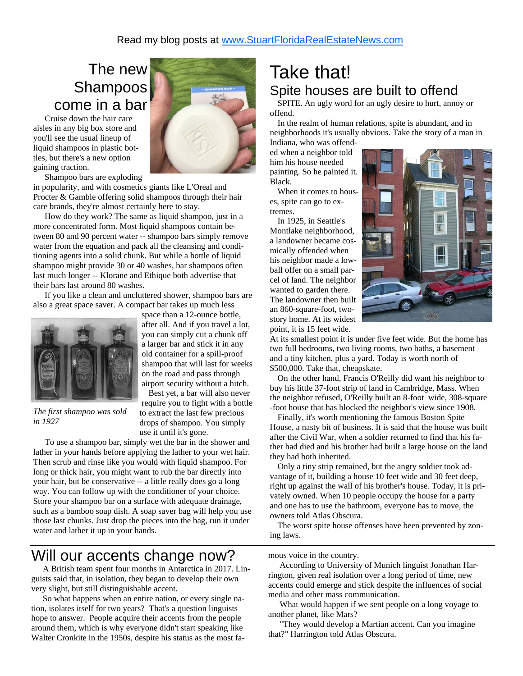### The new Shampoos come in a bar

 Cruise down the hair care aisles in any big box store and you'll see the usual lineup of liquid shampoos in plastic bottles, but there's a new option gaining traction.



Shampoo bars are exploding

in popularity, and with cosmetics giants like L'Oreal and Procter & Gamble offering solid shampoos through their hair care brands, they're almost certainly here to stay.

 How do they work? The same as liquid shampoo, just in a more concentrated form. Most liquid shampoos contain between 80 and 90 percent water -- shampoo bars simply remove water from the equation and pack all the cleansing and conditioning agents into a solid chunk. But while a bottle of liquid shampoo might provide 30 or 40 washes, bar shampoos often last much longer -- Klorane and Ethique both advertise that their bars last around 80 washes.

 If you like a clean and uncluttered shower, shampoo bars are also a great space saver. A compact bar takes up much less



space than a 12-ounce bottle, after all. And if you travel a lot, you can simply cut a chunk off a larger bar and stick it in any old container for a spill-proof shampoo that will last for weeks on the road and pass through airport security without a hitch.

 Best yet, a bar will also never require you to fight with a bottle to extract the last few precious drops of shampoo. You simply

*The first shampoo was sold in 1927* 

water and lather it up in your hands.

use it until it's gone. To use a shampoo bar, simply wet the bar in the shower and lather in your hands before applying the lather to your wet hair. Then scrub and rinse like you would with liquid shampoo. For long or thick hair, you might want to rub the bar directly into your hair, but be conservative -- a little really does go a long way. You can follow up with the conditioner of your choice. Store your shampoo bar on a surface with adequate drainage, such as a bamboo soap dish. A soap saver bag will help you use those last chunks. Just drop the pieces into the bag, run it under

### Will our accents change now?

 A British team spent four months in Antarctica in 2017. Linguists said that, in isolation, they began to develop their own very slight, but still distinguishable accent.

 So what happens when an entire nation, or every single nation, isolates itself for two years? That's a question linguists hope to answer. People acquire their accents from the people around them, which is why everyone didn't start speaking like Walter Cronkite in the 1950s, despite his status as the most fa-

### Take that! Spite houses are built to offend

 SPITE. An ugly word for an ugly desire to hurt, annoy or offend.

 In the realm of human relations, spite is abundant, and in neighborhoods it's usually obvious. Take the story of a man in

Indiana, who was offended when a neighbor told him his house needed painting. So he painted it. Black.

 When it comes to houses, spite can go to extremes.

 In 1925, in Seattle's Montlake neighborhood, a landowner became cosmically offended when his neighbor made a lowball offer on a small parcel of land. The neighbor wanted to garden there. The landowner then built an 860-square-foot, twostory home. At its widest point, it is 15 feet wide.



At its smallest point it is under five feet wide. But the home has two full bedrooms, two living rooms, two baths, a basement and a tiny kitchen, plus a yard. Today is worth north of \$500,000. Take that, cheapskate.

 On the other hand, Francis O'Reilly did want his neighbor to buy his little 37-foot strip of land in Cambridge, Mass. When the neighbor refused, O'Reilly built an 8-foot wide, 308-square -foot house that has blocked the neighbor's view since 1908.

 Finally, it's worth mentioning the famous Boston Spite House, a nasty bit of business. It is said that the house was built after the Civil War, when a soldier returned to find that his father had died and his brother had built a large house on the land they had both inherited.

 Only a tiny strip remained, but the angry soldier took advantage of it, building a house 10 feet wide and 30 feet deep, right up against the wall of his brother's house. Today, it is privately owned. When 10 people occupy the house for a party and one has to use the bathroom, everyone has to move, the owners told Atlas Obscura.

 The worst spite house offenses have been prevented by zoning laws.

mous voice in the country.

 According to University of Munich linguist Jonathan Harrington, given real isolation over a long period of time, new accents could emerge and stick despite the influences of social media and other mass communication.

 What would happen if we sent people on a long voyage to another planet, like Mars?

 "They would develop a Martian accent. Can you imagine that?" Harrington told Atlas Obscura.